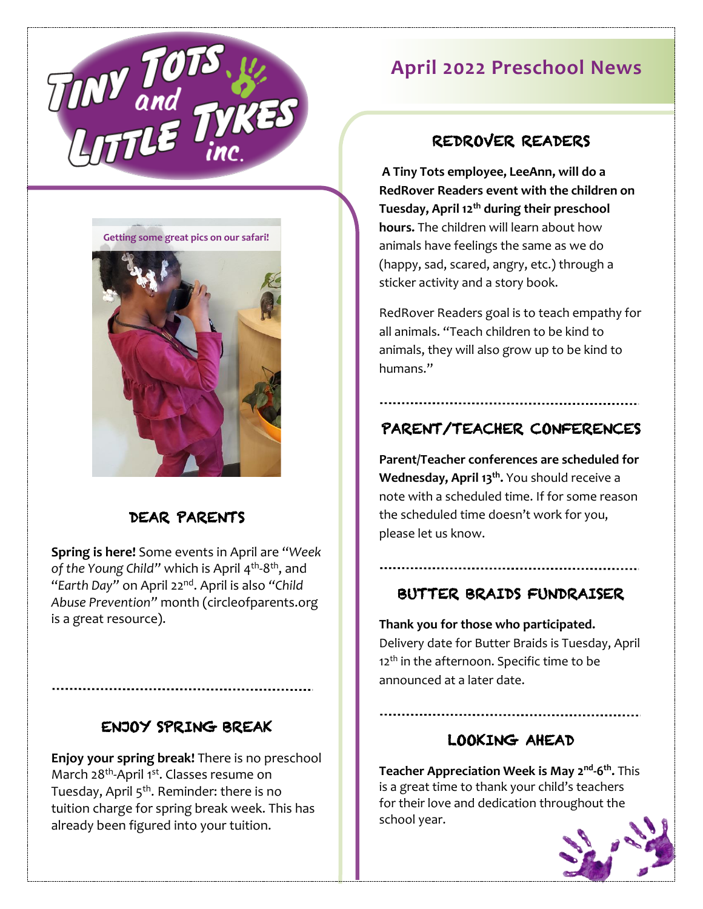

**April 2022 Preschool News**

**Getting some great pics on our safari!**



## DEAR PARENTS

**Spring is here!** Some events in April are "*Week*  of the Young Child" which is April 4<sup>th</sup>-8<sup>th</sup>, and "*Earth Day"* on April 22nd . April is also *"Child Abuse Prevention"* month (circleofparents.org is a great resource).

## ENJOY SPRING BREAK

**Enjoy your spring break!** There is no preschool March 28<sup>th</sup>-April 1<sup>st</sup>. Classes resume on Tuesday, April 5<sup>th</sup>. Reminder: there is no tuition charge for spring break week. This has already been figured into your tuition.

REDROVER READERS **A Tiny Tots employee, LeeAnn, will do a** 

**RedRover Readers event with the children on Tuesday, April 12th during their preschool hours.** The children will learn about how animals have feelings the same as we do (happy, sad, scared, angry, etc.) through a sticker activity and a story book.

RedRover Readers goal is to teach empathy for all animals. "Teach children to be kind to animals, they will also grow up to be kind to humans."

# PARENT/TEACHER CONFERENCES

**Parent/Teacher conferences are scheduled for Wednesday, April 13th .** You should receive a note with a scheduled time. If for some reason the scheduled time doesn't work for you, please let us know.

## BUTTER BRAIDS FUNDRAISER

**Thank you for those who participated.**  Delivery date for Butter Braids is Tuesday, April 12<sup>th</sup> in the afternoon. Specific time to be announced at a later date.

## LOOKING AHEAD

**Teacher Appreciation Week is May 2 nd -6 th .** This is a great time to thank your child's teachers for their love and dedication throughout the school year.